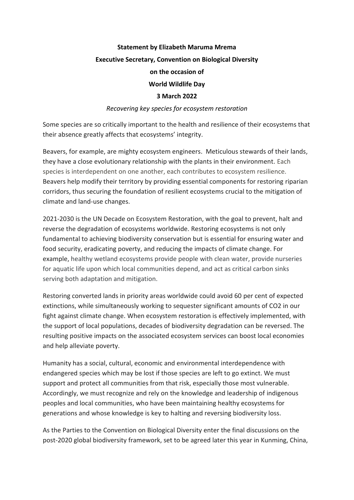## **Statement by Elizabeth Maruma Mrema Executive Secretary, Convention on Biological Diversity on the occasion of World Wildlife Day 3 March 2022**

## *Recovering key species for ecosystem restoration*

Some species are so critically important to the health and resilience of their ecosystems that their absence greatly affects that ecosystems' integrity.

Beavers, for example, are mighty ecosystem engineers. Meticulous stewards of their lands, they have a close evolutionary relationship with the plants in their environment. Each species is interdependent on one another, each contributes to ecosystem resilience. Beavers help modify their territory by providing essential components for restoring riparian corridors, thus securing the foundation of resilient ecosystems crucial to the mitigation of climate and land-use changes.

2021-2030 is the UN Decade on Ecosystem Restoration, with the goal to prevent, halt and reverse the degradation of ecosystems worldwide. Restoring ecosystems is not only fundamental to achieving biodiversity conservation but is essential for ensuring water and food security, eradicating poverty, and reducing the impacts of climate change. For example, healthy wetland ecosystems provide people with clean water, provide nurseries for aquatic life upon which local communities depend, and act as critical carbon sinks serving both adaptation and mitigation.

Restoring converted lands in priority areas worldwide could avoid 60 per cent of expected extinctions, while simultaneously working to sequester significant amounts of CO2 in our fight against climate change. When ecosystem restoration is effectively implemented, with the support of local populations, decades of biodiversity degradation can be reversed. The resulting positive impacts on the associated ecosystem services can boost local economies and help alleviate poverty.

Humanity has a social, cultural, economic and environmental interdependence with endangered species which may be lost if those species are left to go extinct. We must support and protect all communities from that risk, especially those most vulnerable. Accordingly, we must recognize and rely on the knowledge and leadership of indigenous peoples and local communities, who have been maintaining healthy ecosystems for generations and whose knowledge is key to halting and reversing biodiversity loss.

As the Parties to the Convention on Biological Diversity enter the final discussions on the post-2020 global biodiversity framework, set to be agreed later this year in Kunming, China,